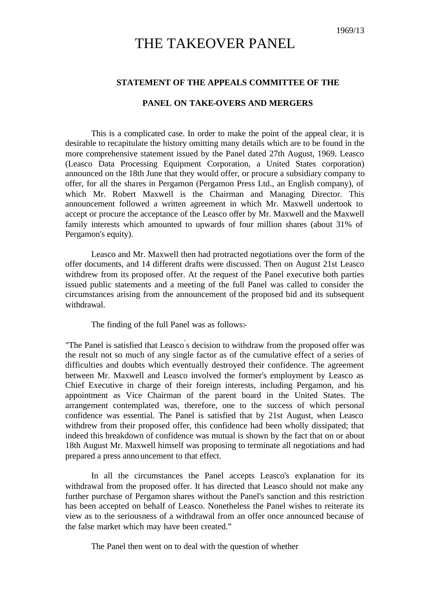## THE TAKEOVER PANEL

## **STATEMENT OF THE APPEALS COMMITTEE OF THE**

## **PANEL ON TAKE-OVERS AND MERGERS**

This is a complicated case. In order to make the point of the appeal clear, it is desirable to recapitulate the history omitting many details which are to be found in the more comprehensive statement issued by the Panel dated 27th August, 1969. Leasco (Leasco Data Processing Equipment Corporation, a United States corporation) announced on the 18th June that they would offer, or procure a subsidiary company to offer, for all the shares in Pergamon (Pergamon Press Ltd., an English company), of which Mr. Robert Maxwell is the Chairman and Managing Director. This announcement followed a written agreement in which Mr. Maxwell undertook to accept or procure the acceptance of the Leasco offer by Mr. Maxwell and the Maxwell family interests which amounted to upwards of four million shares (about 31% of Pergamon's equity).

Leasco and Mr. Maxwell then had protracted negotiations over the form of the offer documents, and 14 different drafts were discussed. Then on August 21st Leasco withdrew from its proposed offer. At the request of the Panel executive both parties issued public statements and a meeting of the full Panel was called to consider the circumstances arising from the announcement of the proposed bid and its subsequent withdrawal.

The finding of the full Panel was as follows:-

"The Panel is satisfied that Leasco's decision to withdraw from the proposed offer was the result not so much of any single factor as of the cumulative effect of a series of difficulties and doubts which eventually destroyed their confidence. The agreement between Mr. Maxwell and Leasco involved the former's employment by Leasco as Chief Executive in charge of their foreign interests, including Pergamon, and his appointment as Vice Chairman of the parent board in the United States. The arrangement contemplated was, therefore, one to the success of which personal confidence was essential. The Panel is satisfied that by 21st August, when Leasco withdrew from their proposed offer, this confidence had been wholly dissipated; that indeed this breakdown of confidence was mutual is shown by the fact that on or about 18th August Mr. Maxwell himself was proposing to terminate all negotiations and had prepared a press announcement to that effect.

In all the circumstances the Panel accepts Leasco's explanation for its withdrawal from the proposed offer. It has directed that Leasco should not make any further purchase of Pergamon shares without the Panel's sanction and this restriction has been accepted on behalf of Leasco. Nonetheless the Panel wishes to reiterate its view as to the seriousness of a withdrawal from an offer once announced because of the false market which may have been created."

The Panel then went on to deal with the question of whether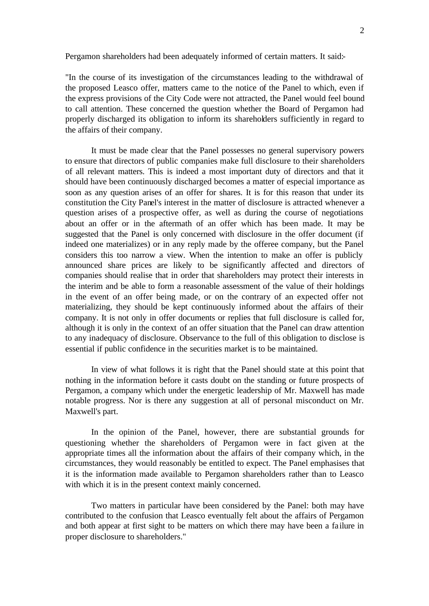Pergamon shareholders had been adequately informed of certain matters. It said:-

"In the course of its investigation of the circumstances leading to the withdrawal of the proposed Leasco offer, matters came to the notice of the Panel to which, even if the express provisions of the City Code were not attracted, the Panel would feel bound to call attention. These concerned the question whether the Board of Pergamon had properly discharged its obligation to inform its shareholders sufficiently in regard to the affairs of their company.

It must be made clear that the Panel possesses no general supervisory powers to ensure that directors of public companies make full disclosure to their shareholders of all relevant matters. This is indeed a most important duty of directors and that it should have been continuously discharged becomes a matter of especial importance as soon as any question arises of an offer for shares. It is for this reason that under its constitution the City Panel's interest in the matter of disclosure is attracted whenever a question arises of a prospective offer, as well as during the course of negotiations about an offer or in the aftermath of an offer which has been made. It may be suggested that the Panel is only concerned with disclosure in the offer document (if indeed one materializes) or in any reply made by the offeree company, but the Panel considers this too narrow a view. When the intention to make an offer is publicly announced share prices are likely to be significantly affected and directors of companies should realise that in order that shareholders may protect their interests in the interim and be able to form a reasonable assessment of the value of their holdings in the event of an offer being made, or on the contrary of an expected offer not materializing, they should be kept continuously informed about the affairs of their company. It is not only in offer documents or replies that full disclosure is called for, although it is only in the context of an offer situation that the Panel can draw attention to any inadequacy of disclosure. Observance to the full of this obligation to disclose is essential if public confidence in the securities market is to be maintained.

In view of what follows it is right that the Panel should state at this point that nothing in the information before it casts doubt on the standing or future prospects of Pergamon, a company which under the energetic leadership of Mr. Maxwell has made notable progress. Nor is there any suggestion at all of personal misconduct on Mr. Maxwell's part.

In the opinion of the Panel, however, there are substantial grounds for questioning whether the shareholders of Pergamon were in fact given at the appropriate times all the information about the affairs of their company which, in the circumstances, they would reasonably be entitled to expect. The Panel emphasises that it is the information made available to Pergamon shareholders rather than to Leasco with which it is in the present context mainly concerned.

Two matters in particular have been considered by the Panel: both may have contributed to the confusion that Leasco eventually felt about the affairs of Pergamon and both appear at first sight to be matters on which there may have been a fa ilure in proper disclosure to shareholders."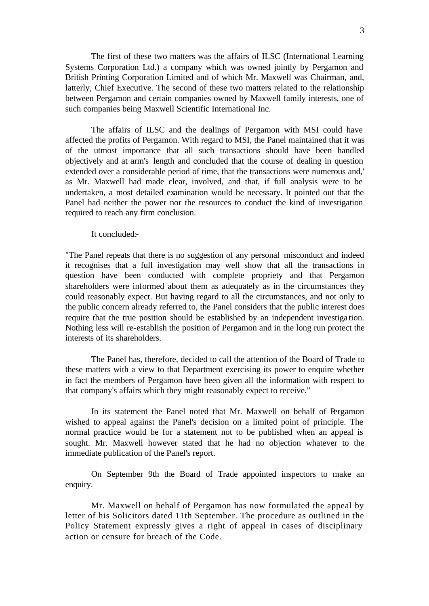The first of these two matters was the affairs of ILSC (International Learning Systems Corporation Ltd.) a company which was owned jointly by Pergamon and British Printing Corporation Limited and of which Mr. Maxwell was Chairman, and, latterly, Chief Executive. The second of these two matters related to the relationship between Pergamon and certain companies owned by Maxwell family interests, one of such companies being Maxwell Scientific International Inc.

The affairs of ILSC and the dealings of Pergamon with MSI could have affected the profits of Pergamon. With regard to MSI, the Panel maintained that it was of the utmost importance that all such transactions should have been handled objectively and at arm's length and concluded that the course of dealing in question extended over a considerable period of time, that the transactions were numerous and,' as Mr. Maxwell had made clear, involved, and that, if full analysis were to be undertaken, a most detailed examination would be necessary. It pointed out that the Panel had neither the power nor the resources to conduct the kind of investigation required to reach any firm conclusion.

It concluded:

"The Panel repeats that there is no suggestion of any personal misconduct and indeed it recognises that a full investigation may well show that all the transactions in question have been conducted with complete propriety and that Pergamon shareholders were informed about them as adequately as in the circumstances they could reasonably expect. But having regard to all the circumstances, and not only to the public concern already referred to, the Panel considers that the public interest does require that the true position should be established by an independent investiga tion. Nothing less will re-establish the position of Pergamon and in the long run protect the interests of its shareholders.

The Panel has, therefore, decided to call the attention of the Board of Trade to these matters with a view to that Department exercising its power to enquire whether in fact the members of Pergamon have been given all the information with respect to that company's affairs which they might reasonably expect to receive."

In its statement the Panel noted that Mr. Maxwell on behalf of Pergamon wished to appeal against the Panel's decision on a limited point of principle. The normal practice would be for a statement not to be published when an appeal is sought. Mr. Maxwell however stated that he had no objection whatever to the immediate publication of the Panel's report.

On September 9th the Board of Trade appointed inspectors to make an enquiry.

Mr. Maxwell on behalf of Pergamon has now formulated the appeal by letter of his Solicitors dated 11th September. The procedure as outlined in the Policy Statement expressly gives a right of appeal in cases of disciplinary action or censure for breach of the Code.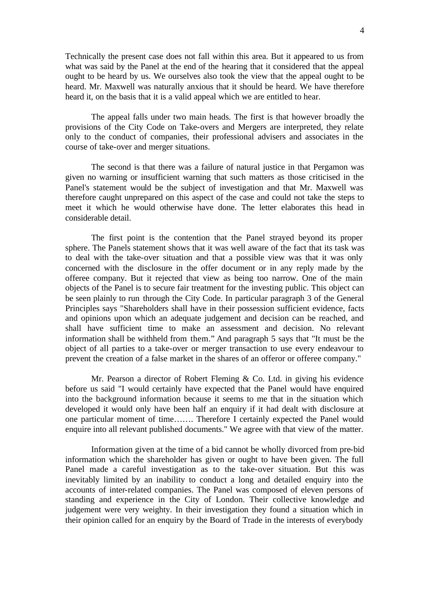Technically the present case does not fall within this area. But it appeared to us from what was said by the Panel at the end of the hearing that it considered that the appeal ought to be heard by us. We ourselves also took the view that the appeal ought to be heard. Mr. Maxwell was naturally anxious that it should be heard. We have therefore heard it, on the basis that it is a valid appeal which we are entitled to hear.

The appeal falls under two main heads. The first is that however broadly the provisions of the City Code on Take-overs and Mergers are interpreted, they relate only to the conduct of companies, their professional advisers and associates in the course of take-over and merger situations.

The second is that there was a failure of natural justice in that Pergamon was given no warning or insufficient warning that such matters as those criticised in the Panel's statement would be the subject of investigation and that Mr. Maxwell was therefore caught unprepared on this aspect of the case and could not take the steps to meet it which he would otherwise have done. The letter elaborates this head in considerable detail.

The first point is the contention that the Panel strayed beyond its proper sphere. The Panels statement shows that it was well aware of the fact that its task was to deal with the take-over situation and that a possible view was that it was only concerned with the disclosure in the offer document or in any reply made by the offeree company. But it rejected that view as being too narrow. One of the main objects of the Panel is to secure fair treatment for the investing public. This object can be seen plainly to run through the City Code. In particular paragraph 3 of the General Principles says "Shareholders shall have in their possession sufficient evidence, facts and opinions upon which an adequate judgement and decision can be reached, and shall have sufficient time to make an assessment and decision. No relevant information shall be withheld from them." And paragraph 5 says that "It must be the object of all parties to a take-over or merger transaction to use every endeavour to prevent the creation of a false market in the shares of an offeror or offeree company."

Mr. Pearson a director of Robert Fleming & Co. Ltd. in giving his evidence before us said "I would certainly have expected that the Panel would have enquired into the background information because it seems to me that in the situation which developed it would only have been half an enquiry if it had dealt with disclosure at one particular moment of time……. Therefore I certainly expected the Panel would enquire into all relevant published documents." We agree with that view of the matter.

Information given at the time of a bid cannot be wholly divorced from pre-bid information which the shareholder has given or ought to have been given. The full Panel made a careful investigation as to the take-over situation. But this was inevitably limited by an inability to conduct a long and detailed enquiry into the accounts of inter-related companies. The Panel was composed of eleven persons of standing and experience in the City of London. Their collective knowledge and judgement were very weighty. In their investigation they found a situation which in their opinion called for an enquiry by the Board of Trade in the interests of everybody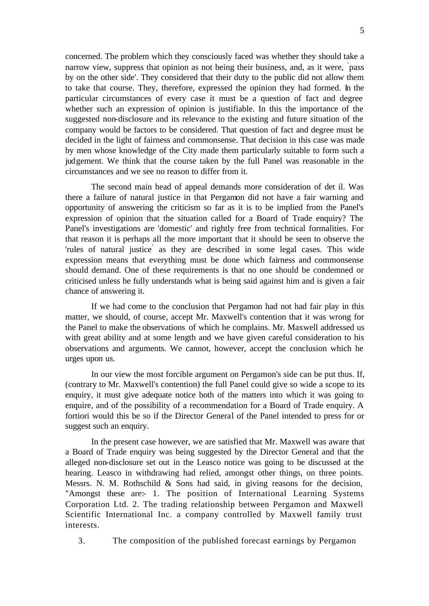concerned. The problem which they consciously faced was whether they should take a narrow view, suppress that opinion as not being their business, and, as it were, ' pass by on the other side'. They considered that their duty to the public did not allow them to take that course. They, therefore, expressed the opinion they had formed. In the particular circumstances of every case it must be a question of fact and degree whether such an expression of opinion is justifiable. In this the importance of the suggested non-disclosure and its relevance to the existing and future situation of the company would be factors to be considered. That question of fact and degree must be decided in the light of fairness and commonsense. That decision in this case was made by men whose knowledge of the City made them particularly suitable to form such a judgement. We think that the course taken by the full Panel was reasonable in the circumstances and we see no reason to differ from it.

The second main head of appeal demands more consideration of det il. Was there a failure of natural justice in that Pergamon did not have a fair warning and opportunity of answering the criticism so far as it is to be implied from the Panel's expression of opinion that the situation called for a Board of Trade enquiry? The Panel's investigations are 'domestic' and rightly free from technical formalities. For that reason it is perhaps all the more important that it should be seen to observe the 'rules of natural justice' as they are described in some legal cases. This wide expression means that everything must be done which fairness and commonsense should demand. One of these requirements is that no one should be condemned or criticised unless he fully understands what is being said against him and is given a fair chance of answering it.

If we had come to the conclusion that Pergamon had not had fair play in this matter, we should, of course, accept Mr. Maxwell's contention that it was wrong for the Panel to make the observations of which he complains. Mr. Maxwell addressed us with great ability and at some length and we have given careful consideration to his observations and arguments. We cannot, however, accept the conclusion which he urges upon us.

In our view the most forcible argument on Pergamon's side can be put thus. If, (contrary to Mr. Maxwell's contention) the full Panel could give so wide a scope to its enquiry, it must give adequate notice both of the matters into which it was going to enquire, and of the possibility of a recommendation for a Board of Trade enquiry. A fortiori would this be so if the Director General of the Panel intended to press for or suggest such an enquiry.

In the present case however, we are satisfied that Mr. Maxwell was aware that a Board of Trade enquiry was being suggested by the Director General and that the alleged non-disclosure set out in the Leasco notice was going to be discussed at the hearing. Leasco in withdrawing had relied, amongst other things, on three points. Messrs. N. M. Rothschild & Sons had said, in giving reasons for the decision, "Amongst these are: 1. The position of International Learning Systems Corporation Ltd. 2. The trading relationship between Pergamon and Maxwell Scientific International Inc. a company controlled by Maxwell family trust interests.

3. The composition of the published forecast earnings by Pergamon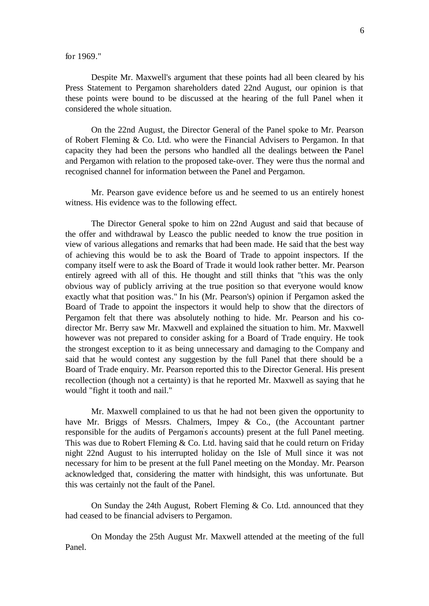for 1969."

Despite Mr. Maxwell's argument that these points had all been cleared by his Press Statement to Pergamon shareholders dated 22nd August, our opinion is that these points were bound to be discussed at the hearing of the full Panel when it considered the whole situation.

On the 22nd August, the Director General of the Panel spoke to Mr. Pearson of Robert Fleming & Co. Ltd. who were the Financial Advisers to Pergamon. In that capacity they had been the persons who handled all the dealings between the Panel and Pergamon with relation to the proposed take-over. They were thus the normal and recognised channel for information between the Panel and Pergamon.

Mr. Pearson gave evidence before us and he seemed to us an entirely honest witness. His evidence was to the following effect.

The Director General spoke to him on 22nd August and said that because of the offer and withdrawal by Leasco the public needed to know the true position in view of various allegations and remarks that had been made. He said that the best way of achieving this would be to ask the Board of Trade to appoint inspectors. If the company itself were to ask the Board of Trade it would look rather better. Mr. Pearson entirely agreed with all of this. He thought and still thinks that "this was the only obvious way of publicly arriving at the true position so that everyone would know exactly what that position was." In his (Mr. Pearson's) opinion if Pergamon asked the Board of Trade to appoint the inspectors it would help to show that the directors of Pergamon felt that there was absolutely nothing to hide. Mr. Pearson and his codirector Mr. Berry saw Mr. Maxwell and explained the situation to him. Mr. Maxwell however was not prepared to consider asking for a Board of Trade enquiry. He took the strongest exception to it as being unnecessary and damaging to the Company and said that he would contest any suggestion by the full Panel that there should be a Board of Trade enquiry. Mr. Pearson reported this to the Director General. His present recollection (though not a certainty) is that he reported Mr. Maxwell as saying that he would "fight it tooth and nail."

Mr. Maxwell complained to us that he had not been given the opportunity to have Mr. Briggs of Messrs. Chalmers, Impey & Co., (the Accountant partner responsible for the audits of Pergamon' s accounts) present at the full Panel meeting. This was due to Robert Fleming & Co. Ltd. having said that he could return on Friday night 22nd August to his interrupted holiday on the Isle of Mull since it was not necessary for him to be present at the full Panel meeting on the Monday. Mr. Pearson acknowledged that, considering the matter with hindsight, this was unfortunate. But this was certainly not the fault of the Panel.

On Sunday the 24th August, Robert Fleming & Co. Ltd. announced that they had ceased to be financial advisers to Pergamon.

On Monday the 25th August Mr. Maxwell attended at the meeting of the full Panel.